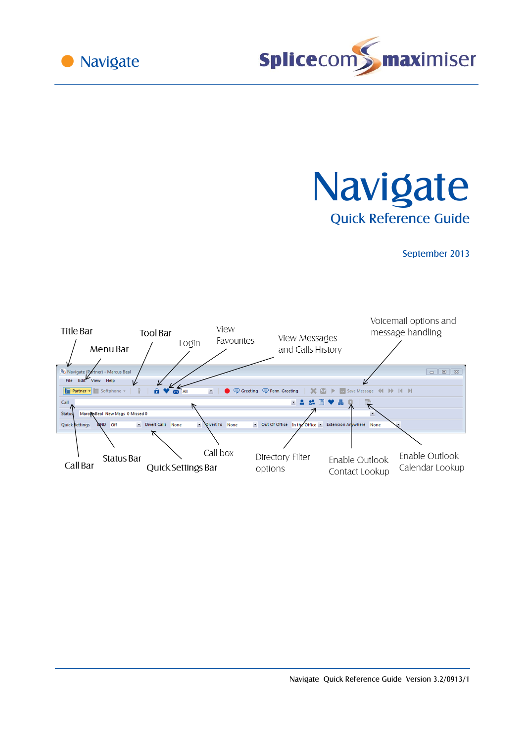



**Navigate** Quick Reference Guide

September 2013

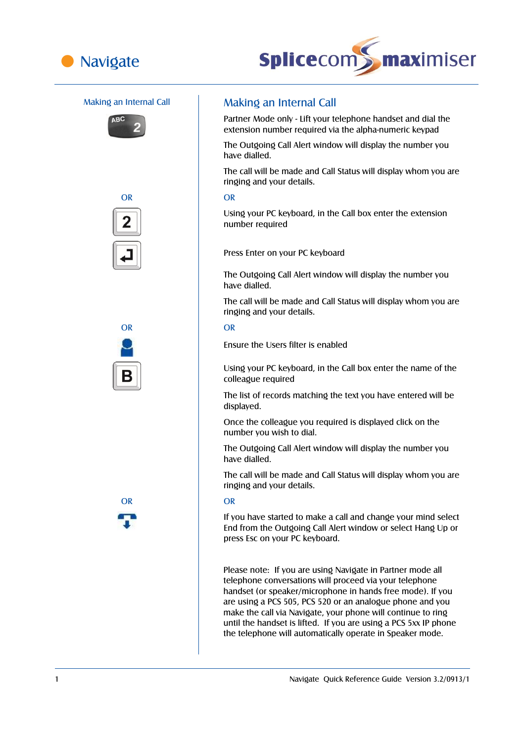











# Making an Internal Call **Making an Internal Call**

Partner Mode only - Lift your telephone handset and dial the extension number required via the alpha-numeric keypad

The Outgoing Call Alert window will display the number you have dialled.

The call will be made and Call Status will display whom you are ringing and your details.

Using your PC keyboard, in the Call box enter the extension number required

Press Enter on your PC keyboard

The Outgoing Call Alert window will display the number you have dialled.

The call will be made and Call Status will display whom you are ringing and your details.

Ensure the Users filter is enabled

Using your PC keyboard, in the Call box enter the name of the colleague required

The list of records matching the text you have entered will be displayed.

Once the colleague you required is displayed click on the number you wish to dial.

The Outgoing Call Alert window will display the number you have dialled.

The call will be made and Call Status will display whom you are ringing and your details.

## OR OR

If you have started to make a call and change your mind select End from the Outgoing Call Alert window or select Hang Up or press Esc on your PC keyboard.

Please note: If you are using Navigate in Partner mode all telephone conversations will proceed via your telephone handset (or speaker/microphone in hands free mode). If you are using a PCS 505, PCS 520 or an analogue phone and you make the call via Navigate, your phone will continue to ring until the handset is lifted. If you are using a PCS 5xx IP phone the telephone will automatically operate in Speaker mode.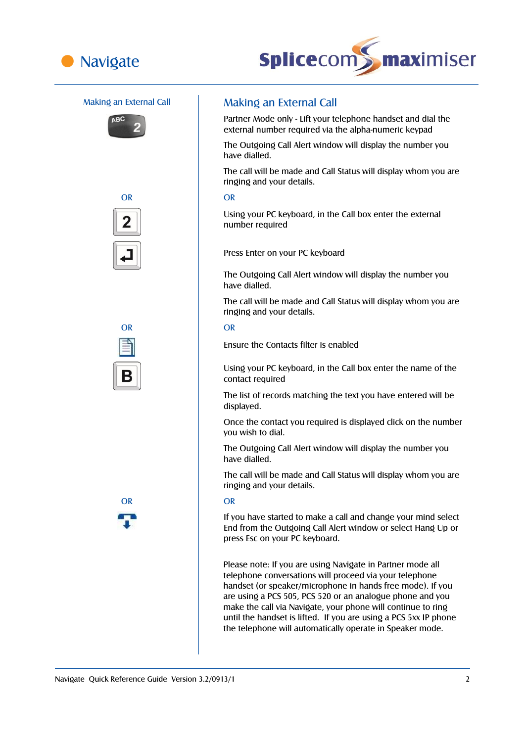











# Making an External Call **Making an External Call**

Partner Mode only - Lift your telephone handset and dial the external number required via the alpha-numeric keypad

The Outgoing Call Alert window will display the number you have dialled.

The call will be made and Call Status will display whom you are ringing and your details.

Using your PC keyboard, in the Call box enter the external number required

Press Enter on your PC keyboard

The Outgoing Call Alert window will display the number you have dialled.

The call will be made and Call Status will display whom you are ringing and your details.

Ensure the Contacts filter is enabled

Using your PC keyboard, in the Call box enter the name of the contact required

The list of records matching the text you have entered will be displayed.

Once the contact you required is displayed click on the number you wish to dial.

The Outgoing Call Alert window will display the number you have dialled.

The call will be made and Call Status will display whom you are ringing and your details.

## OR OR

If you have started to make a call and change your mind select End from the Outgoing Call Alert window or select Hang Up or press Esc on your PC keyboard.

Please note: If you are using Navigate in Partner mode all telephone conversations will proceed via your telephone handset (or speaker/microphone in hands free mode). If you are using a PCS 505, PCS 520 or an analogue phone and you make the call via Navigate, your phone will continue to ring until the handset is lifted. If you are using a PCS 5xx IP phone the telephone will automatically operate in Speaker mode.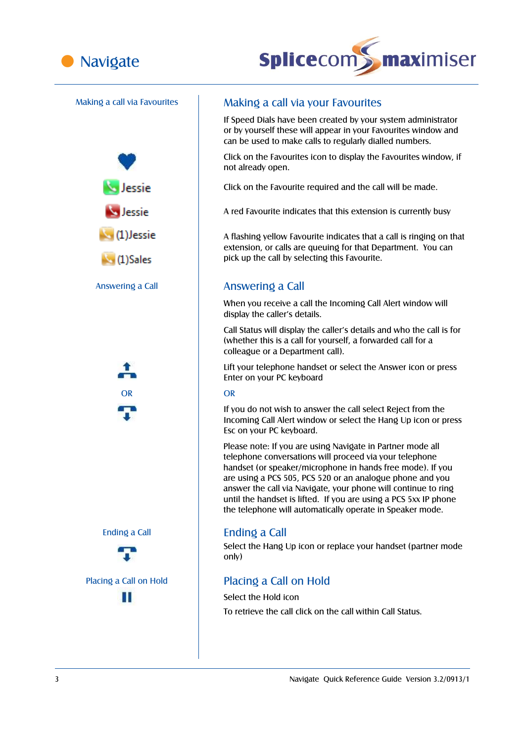





# Making a call via Favourites | Making a call via your Favourites

If Speed Dials have been created by your system administrator or by yourself these will appear in your Favourites window and can be used to make calls to regularly dialled numbers.

Click on the Favourites icon to display the Favourites window, if not already open.

Click on the Favourite required and the call will be made.

A red Favourite indicates that this extension is currently busy

A flashing yellow Favourite indicates that a call is ringing on that extension, or calls are queuing for that Department. You can pick up the call by selecting this Favourite.

# Answering a Call **Answering a Call**

When you receive a call the Incoming Call Alert window will display the caller's details.

Call Status will display the caller's details and who the call is for (whether this is a call for yourself, a forwarded call for a colleague or a Department call).

Lift your telephone handset or select the Answer icon or press Enter on your PC keyboard

If you do not wish to answer the call select Reject from the Incoming Call Alert window or select the Hang Up icon or press Esc on your PC keyboard.

Please note: If you are using Navigate in Partner mode all telephone conversations will proceed via your telephone handset (or speaker/microphone in hands free mode). If you are using a PCS 505, PCS 520 or an analogue phone and you answer the call via Navigate, your phone will continue to ring until the handset is lifted. If you are using a PCS 5xx IP phone the telephone will automatically operate in Speaker mode.

Select the Hang Up icon or replace your handset (partner mode only)

# Placing a Call on Hold Placing a Call on Hold

Select the Hold icon To retrieve the call click on the call within Call Status.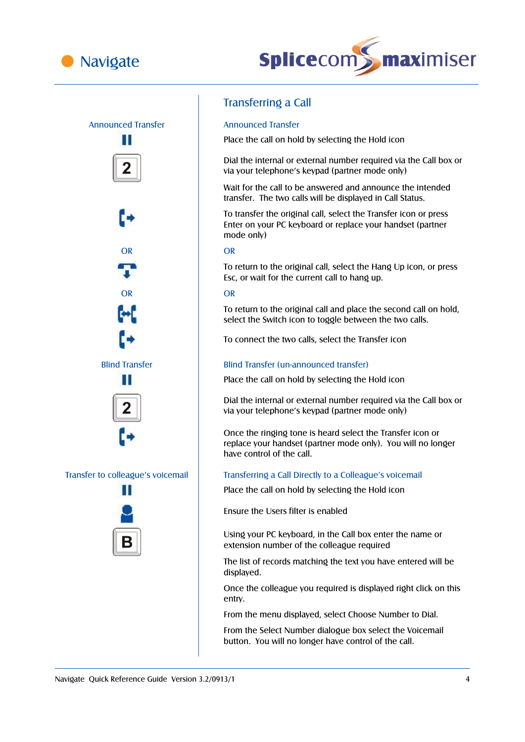





# Transferring a Call

Place the call on hold by selecting the Hold icon

Dial the internal or external number required via the Call box or via your telephone's keypad (partner mode only)

Wait for the call to be answered and announce the intended transfer. The two calls will be displayed in Call Status.

To transfer the original call, select the Transfer icon or press Enter on your PC keyboard or replace your handset (partner mode only)

To return to the original call, select the Hang Up icon, or press Esc, or wait for the current call to hang up.

To return to the original call and place the second call on hold, select the Switch icon to toggle between the two calls.

To connect the two calls, select the Transfer icon

## Blind Transfer Blind Transfer (un-announced transfer)

Place the call on hold by selecting the Hold icon

Dial the internal or external number required via the Call box or via your telephone's keypad (partner mode only)

Once the ringing tone is heard select the Transfer icon or replace your handset (partner mode only). You will no longer have control of the call.

## Transfer to colleague's voicemail Transferring a Call Directly to a Colleague's voicemail

Place the call on hold by selecting the Hold icon

Ensure the Users filter is enabled

Using your PC keyboard, in the Call box enter the name or extension number of the colleague required

The list of records matching the text you have entered will be displayed.

Once the colleague you required is displayed right click on this entry.

From the menu displayed, select Choose Number to Dial.

From the Select Number dialogue box select the Voicemail button. You will no longer have control of the call.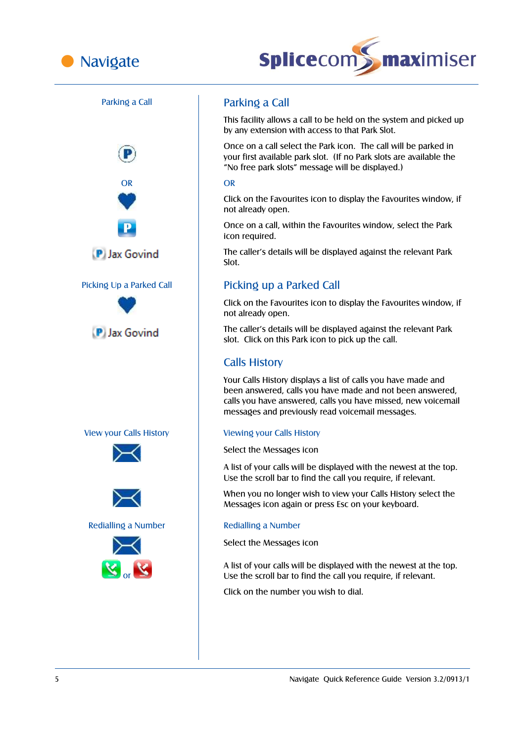





This facility allows a call to be held on the system and picked up by any extension with access to that Park Slot.

Once on a call select the Park icon. The call will be parked in your first available park slot. (If no Park slots are available the "No free park slots" message will be displayed.)

Click on the Favourites icon to display the Favourites window, if not already open.

Once on a call, within the Favourites window, select the Park icon required.

The caller's details will be displayed against the relevant Park Slot.

# Picking Up a Parked Call Picking up a Parked Call

Click on the Favourites icon to display the Favourites window, if not already open.

The caller's details will be displayed against the relevant Park slot. Click on this Park icon to pick up the call.

# Calls History

Your Calls History displays a list of calls you have made and been answered, calls you have made and not been answered, calls you have answered, calls you have missed, new voicemail messages and previously read voicemail messages.

Select the Messages icon

A list of your calls will be displayed with the newest at the top. Use the scroll bar to find the call you require, if relevant.

When you no longer wish to view your Calls History select the Messages icon again or press Esc on your keyboard.

Select the Messages icon

A list of your calls will be displayed with the newest at the top. Use the scroll bar to find the call you require, if relevant.

Click on the number you wish to dial.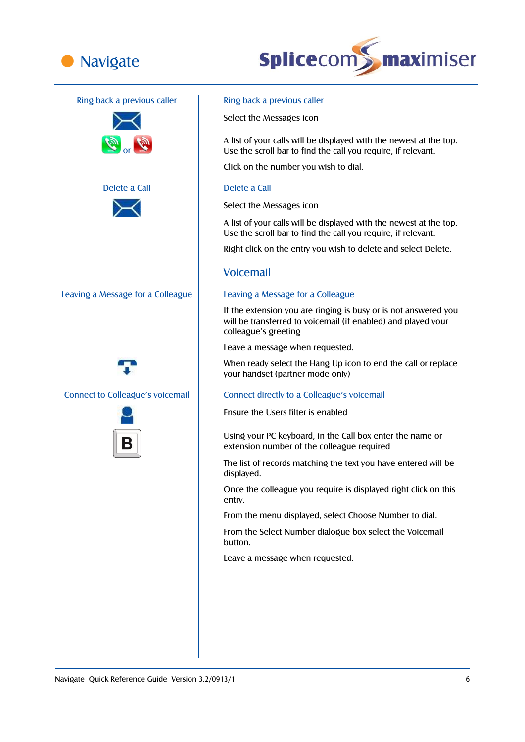



## Ring back a previous caller **Ring back a previous caller**













Select the Messages icon

A list of your calls will be displayed with the newest at the top. Use the scroll bar to find the call you require, if relevant.

Click on the number you wish to dial.

Select the Messages icon

A list of your calls will be displayed with the newest at the top. Use the scroll bar to find the call you require, if relevant.

Right click on the entry you wish to delete and select Delete.

## Voicemail

If the extension you are ringing is busy or is not answered you will be transferred to voicemail (if enabled) and played your colleague's greeting

Leave a message when requested.

When ready select the Hang Up icon to end the call or replace your handset (partner mode only)

## Connect to Colleague's voicemail Connect directly to a Colleague's voicemail

Ensure the Users filter is enabled

Using your PC keyboard, in the Call box enter the name or extension number of the colleague required

The list of records matching the text you have entered will be displayed.

Once the colleague you require is displayed right click on this entry.

From the menu displayed, select Choose Number to dial.

From the Select Number dialogue box select the Voicemail button.

Leave a message when requested.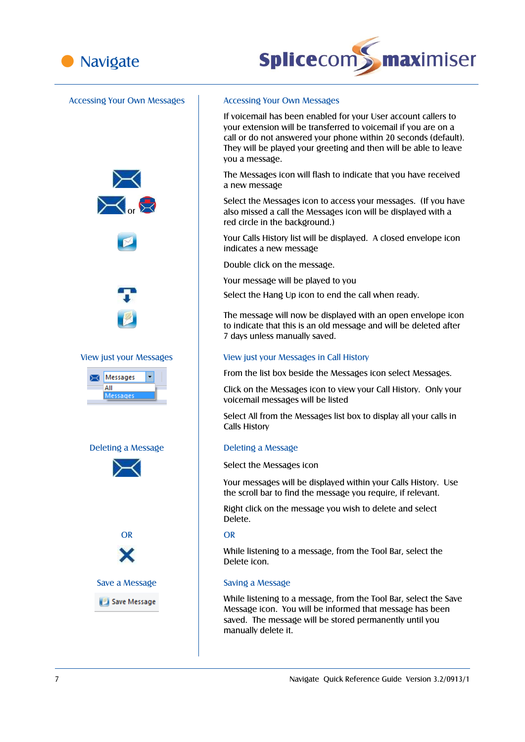



## Accessing Your Own Messages | Accessing Your Own Messages









If voicemail has been enabled for your User account callers to your extension will be transferred to voicemail if you are on a call or do not answered your phone within 20 seconds (default). They will be played your greeting and then will be able to leave you a message.

The Messages icon will flash to indicate that you have received a new message

Select the Messages icon to access your messages. (If you have also missed a call the Messages icon will be displayed with a red circle in the background.)

Your Calls History list will be displayed. A closed envelope icon indicates a new message

Double click on the message.

Your message will be played to you

Select the Hang Up icon to end the call when ready.

The message will now be displayed with an open envelope icon to indicate that this is an old message and will be deleted after 7 days unless manually saved.

### View just your Messages View just your Messages in Call History

From the list box beside the Messages icon select Messages.

Click on the Messages icon to view your Call History. Only your voicemail messages will be listed

Select All from the Messages list box to display all your calls in Calls History

Select the Messages icon

Your messages will be displayed within your Calls History. Use the scroll bar to find the message you require, if relevant.

Right click on the message you wish to delete and select Delete.

While listening to a message, from the Tool Bar, select the Delete icon.

While listening to a message, from the Tool Bar, select the Save Message icon. You will be informed that message has been saved. The message will be stored permanently until you manually delete it.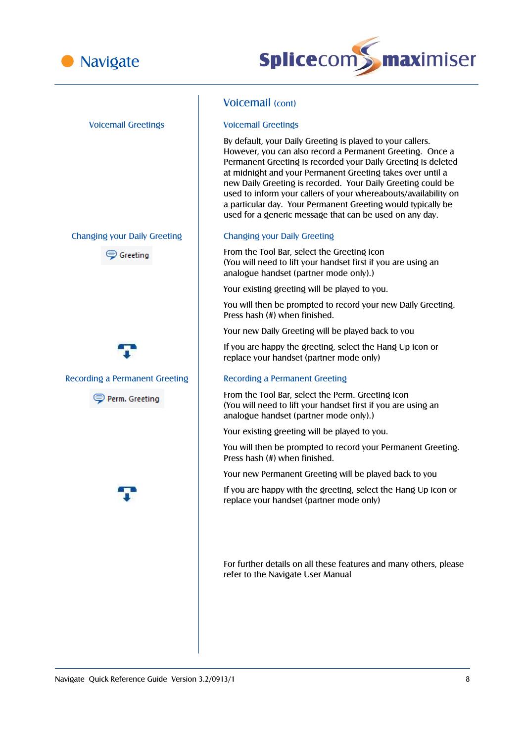



# Voicemail Greetings Voicemail Greetings Changing your Daily Greeting Changing your Daily Greeting Greeting Recording a Permanent Greeting | Recording a Permanent Greeting Perm. Greeting

# Voicemail (cont)

By default, your Daily Greeting is played to your callers. However, you can also record a Permanent Greeting. Once a Permanent Greeting is recorded your Daily Greeting is deleted at midnight and your Permanent Greeting takes over until a new Daily Greeting is recorded. Your Daily Greeting could be used to inform your callers of your whereabouts/availability on a particular day. Your Permanent Greeting would typically be used for a generic message that can be used on any day.

From the Tool Bar, select the Greeting icon (You will need to lift your handset first if you are using an analogue handset (partner mode only).)

Your existing greeting will be played to you.

You will then be prompted to record your new Daily Greeting. Press hash (#) when finished.

Your new Daily Greeting will be played back to you

If you are happy the greeting, select the Hang Up icon or replace your handset (partner mode only)

From the Tool Bar, select the Perm. Greeting icon (You will need to lift your handset first if you are using an analogue handset (partner mode only).)

Your existing greeting will be played to you.

You will then be prompted to record your Permanent Greeting. Press hash (#) when finished.

Your new Permanent Greeting will be played back to you

If you are happy with the greeting, select the Hang Up icon or replace your handset (partner mode only)

For further details on all these features and many others, please refer to the Navigate User Manual